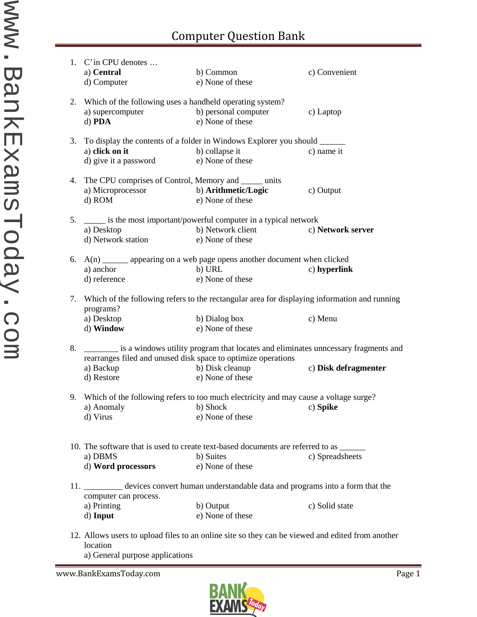## Computer Question Bank

|    | 1. C'in CPU denotes                                                                                                  |                                                                                         |                      |  |  |
|----|----------------------------------------------------------------------------------------------------------------------|-----------------------------------------------------------------------------------------|----------------------|--|--|
|    | a) Central                                                                                                           | b) Common                                                                               | c) Convenient        |  |  |
|    | d) Computer                                                                                                          | e) None of these                                                                        |                      |  |  |
|    |                                                                                                                      |                                                                                         |                      |  |  |
|    | 2. Which of the following uses a handheld operating system?                                                          |                                                                                         |                      |  |  |
|    | a) supercomputer                                                                                                     | b) personal computer                                                                    | c) Laptop            |  |  |
|    | d) PDA                                                                                                               | e) None of these                                                                        |                      |  |  |
|    |                                                                                                                      |                                                                                         |                      |  |  |
| 3. | To display the contents of a folder in Windows Explorer you should _______                                           |                                                                                         |                      |  |  |
|    | a) click on it                                                                                                       | b) collapse it                                                                          | c) name it           |  |  |
|    | d) give it a password                                                                                                | e) None of these                                                                        |                      |  |  |
|    |                                                                                                                      |                                                                                         |                      |  |  |
|    | 4. The CPU comprises of Control, Memory and ______ units                                                             |                                                                                         |                      |  |  |
|    | a) Microprocessor                                                                                                    | b) Arithmetic/Logic                                                                     | c) Output            |  |  |
|    | d) ROM                                                                                                               | e) None of these                                                                        |                      |  |  |
|    |                                                                                                                      |                                                                                         |                      |  |  |
| 5. |                                                                                                                      | is the most important/powerful computer in a typical network                            |                      |  |  |
|    | a) Desktop                                                                                                           | b) Network client                                                                       | c) Network server    |  |  |
|    | d) Network station                                                                                                   | e) None of these                                                                        |                      |  |  |
|    |                                                                                                                      |                                                                                         |                      |  |  |
|    |                                                                                                                      | 6. $A(n)$ _______ appearing on a web page opens another document when clicked           |                      |  |  |
|    | a) anchor                                                                                                            | b) URL                                                                                  | c) hyperlink         |  |  |
|    | d) reference                                                                                                         | e) None of these                                                                        |                      |  |  |
|    |                                                                                                                      |                                                                                         |                      |  |  |
|    |                                                                                                                      |                                                                                         |                      |  |  |
|    | 7. Which of the following refers to the rectangular area for displaying information and running                      |                                                                                         |                      |  |  |
|    | programs?                                                                                                            |                                                                                         |                      |  |  |
|    | a) Desktop                                                                                                           | b) Dialog box                                                                           | c) Menu              |  |  |
|    | d) Window                                                                                                            | e) None of these                                                                        |                      |  |  |
|    | 8. is a windows utility program that locates and eliminates unnessary fragments and                                  |                                                                                         |                      |  |  |
|    |                                                                                                                      |                                                                                         |                      |  |  |
|    | rearranges filed and unused disk space to optimize operations                                                        |                                                                                         |                      |  |  |
|    | a) Backup                                                                                                            | b) Disk cleanup                                                                         | c) Disk defragmenter |  |  |
|    | d) Restore                                                                                                           | e) None of these                                                                        |                      |  |  |
|    |                                                                                                                      |                                                                                         |                      |  |  |
|    |                                                                                                                      | 9. Which of the following refers to too much electricity and may cause a voltage surge? |                      |  |  |
|    |                                                                                                                      | a) Anomaly b) Shock c) Spike                                                            |                      |  |  |
|    | d) Virus                                                                                                             | e) None of these                                                                        |                      |  |  |
|    |                                                                                                                      |                                                                                         |                      |  |  |
|    |                                                                                                                      |                                                                                         |                      |  |  |
|    |                                                                                                                      | 10. The software that is used to create text-based documents are referred to as ______  |                      |  |  |
|    | a) DBMS                                                                                                              | b) Suites                                                                               | c) Spreadsheets      |  |  |
|    | d) Word processors                                                                                                   | e) None of these                                                                        |                      |  |  |
|    |                                                                                                                      |                                                                                         |                      |  |  |
|    | 11. ___________ devices convert human understandable data and programs into a form that the<br>computer can process. |                                                                                         |                      |  |  |
|    |                                                                                                                      |                                                                                         |                      |  |  |
|    | a) Printing                                                                                                          | b) Output                                                                               | c) Solid state       |  |  |
|    | d) Input                                                                                                             | e) None of these                                                                        |                      |  |  |
|    |                                                                                                                      |                                                                                         |                      |  |  |
|    | 12 Allows were to uploed files to an opline site so they gen be viewed and edited from enother                       |                                                                                         |                      |  |  |

12. Allows users to upload files to an online site so they can be viewed and edited from another location

a) General purpose applications

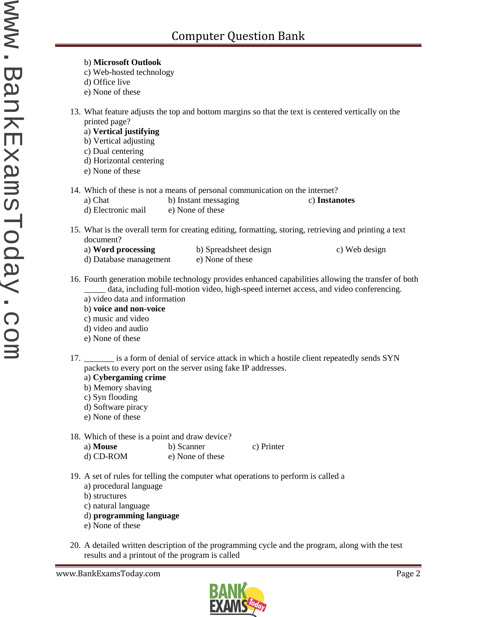13. What feature adjusts the top and bottom margins so that the text is centered vertically on the printed page? a) **Vertical justifying** b) Vertical adjusting c) Dual centering d) Horizontal centering e) None of these 14. Which of these is not a means of personal communication on the internet? a) Chat b) Instant messaging c) **Instanotes** d) Electronic mail e) None of these 15. What is the overall term for creating editing, formatting, storing, retrieving and printing a text document? a) **Word processing** b) Spreadsheet design c) Web design d) Database management e) None of these 16. Fourth generation mobile technology provides enhanced capabilities allowing the transfer of both data, including full-motion video, high-speed internet access, and video conferencing. a) video data and information b) **voice and non-voice** c) music and video d) video and audio e) None of these 17. \_\_\_\_\_\_\_ is a form of denial of service attack in which a hostile client repeatedly sends SYN packets to every port on the server using fake IP addresses. a) **Cybergaming crime**

b) Memory shaving

b) **Microsoft Outlook** c) Web-hosted technology

d) Office live e) None of these

- c) Syn flooding
- d) Software piracy
- e) None of these
- 18. Which of these is a point and draw device?
	- a) **Mouse** b) Scanner c) Printer d) CD-ROM e) None of these
- 19. A set of rules for telling the computer what operations to perform is called a
	- a) procedural language
	- b) structures
	- c) natural language
	- d) **programming language**
	- e) None of these
- 20. A detailed written description of the programming cycle and the program, along with the test results and a printout of the program is called

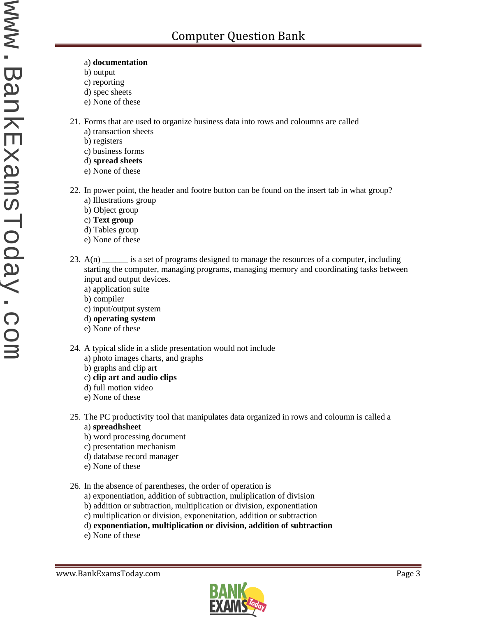- a) **documentation**
- b) output
- c) reporting
- d) spec sheets
- e) None of these
- 21. Forms that are used to organize business data into rows and coloumns are called
	- a) transaction sheets
	- b) registers
	- c) business forms
	- d) **spread sheets**
	- e) None of these
- 22. In power point, the header and footre button can be found on the insert tab in what group? a) Illustrations group
	- b) Object group
	- c) **Text group**
	- d) Tables group
	- e) None of these
- 23. A(n) \_\_\_\_\_\_ is a set of programs designed to manage the resources of a computer, including starting the computer, managing programs, managing memory and coordinating tasks between input and output devices.
	- a) application suite
	- b) compiler
	- c) input/output system
	- d) **operating system**
	- e) None of these
- 24. A typical slide in a slide presentation would not include
	- a) photo images charts, and graphs
	- b) graphs and clip art
	- c) **clip art and audio clips**
	- d) full motion video
	- e) None of these
- 25. The PC productivity tool that manipulates data organized in rows and coloumn is called a a) **spreadhsheet**
	- b) word processing document
	- c) presentation mechanism
	- d) database record manager
	- e) None of these
- 26. In the absence of parentheses, the order of operation is
	- a) exponentiation, addition of subtraction, muliplication of division
	- b) addition or subtraction, multiplication or division, exponentiation
	- c) multiplication or division, exponenitation, addition or subtraction
	- d) **exponentiation, multiplication or division, addition of subtraction**
	- e) None of these

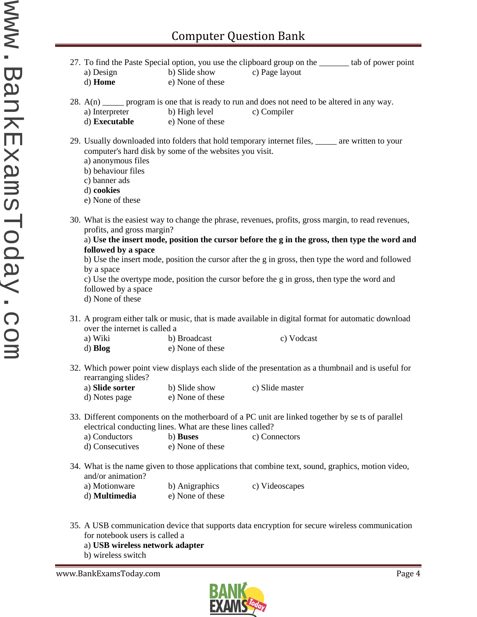- 27. To find the Paste Special option, you use the clipboard group on the \_\_\_\_\_\_\_ tab of power point a) Design b) Slide show c) Page layout d) **Home** e) None of these 28.  $A(n)$  program is one that is ready to run and does not need to be altered in any way.<br>a) Interpreter b) High level c) Compiler a) Interpreter b) High level d) **Executable** e) None of these 29. Usually downloaded into folders that hold temporary internet files, \_\_\_\_\_ are written to your computer's hard disk by some of the websites you visit. a) anonymous files b) behaviour files c) banner ads d) **cookies** e) None of these 30. What is the easiest way to change the phrase, revenues, profits, gross margin, to read revenues, profits, and gross margin? a) **Use the insert mode, position the cursor before the g in the gross, then type the word and followed by a space** b) Use the insert mode, position the cursor after the g in gross, then type the word and followed by a space c) Use the overtype mode, position the cursor before the g in gross, then type the word and followed by a space d) None of these 31. A program either talk or music, that is made available in digital format for automatic download over the internet is called a a) Wiki b) Broadcast c) Vodcast d) **Blog** e) None of these 32. Which power point view displays each slide of the presentation as a thumbnail and is useful for rearranging slides? a) **Slide sorter** b) Slide show c) Slide master d) Notes page e) None of these 33. Different components on the motherboard of a PC unit are linked together by se ts of parallel electrical conducting lines. What are these lines called? a) Conductors b) **Buses** c) Connectors d) Consecutives e) None of these 34. What is the name given to those applications that combine text, sound, graphics, motion video, and/or animation? a) Motionware b) Anigraphics c) Videoscapes d) **Multimedia** e) None of these
- 35. A USB communication device that supports data encryption for secure wireless communication for notebook users is called a
	- a) **USB wireless network adapter**
	- b) wireless switch

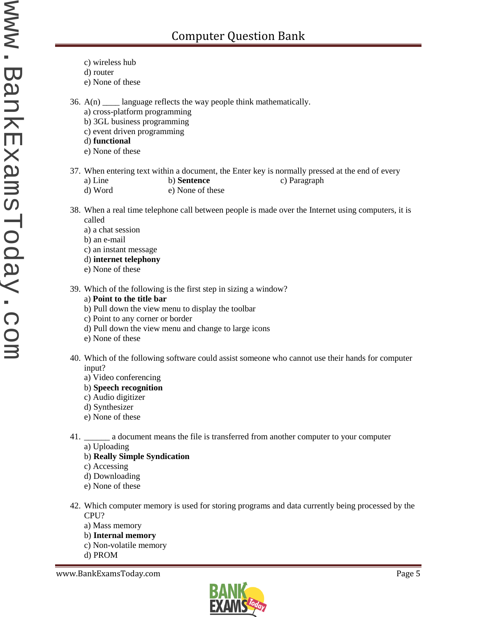- c) wireless hub
- d) router
- e) None of these

36.  $A(n)$  \_\_\_\_\_ language reflects the way people think mathematically.

- a) cross-platform programming
- b) 3GL business programming
- c) event driven programming
- d) **functional**
- e) None of these

37. When entering text within a document, the Enter key is normally pressed at the end of every a) Line b) **Sentence** c) Paragraph d) Word e) None of these

- 38. When a real time telephone call between people is made over the Internet using computers, it is called
	- a) a chat session
	- b) an e-mail
	- c) an instant message
	- d) **internet telephony**
	- e) None of these
- 39. Which of the following is the first step in sizing a window?
	- a) **Point to the title bar**
	- b) Pull down the view menu to display the toolbar
	- c) Point to any corner or border
	- d) Pull down the view menu and change to large icons
	- e) None of these
- 40. Which of the following software could assist someone who cannot use their hands for computer input?
	- a) Video conferencing
	- b) **Speech recognition**
	- c) Audio digitizer
	- d) Synthesizer
	- e) None of these
- 41. \_\_\_\_\_\_ a document means the file is transferred from another computer to your computer
	- a) Uploading
	- b) **Really Simple Syndication**
	- c) Accessing
	- d) Downloading
	- e) None of these
- 42. Which computer memory is used for storing programs and data currently being processed by the CPU?
	- a) Mass memory
	- b) **Internal memory**
	- c) Non-volatile memory
	- d) PROM

www.BankExamsToday.com **Page 5** 

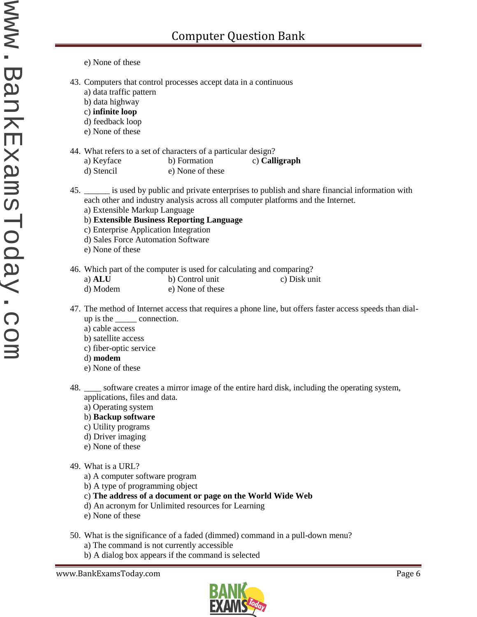- e) None of these
- 43. Computers that control processes accept data in a continuous
	- a) data traffic pattern
	- b) data highway
	- c) **infinite loop**
	- d) feedback loop
	- e) None of these

## 44. What refers to a set of characters of a particular design?

- a) Keyface b) Formation c) **Calligraph**
- d) Stencil e) None of these
- 45. \_\_\_\_\_\_ is used by public and private enterprises to publish and share financial information with each other and industry analysis across all computer platforms and the Internet.
	- a) Extensible Markup Language
	- b) **Extensible Business Reporting Language**
	- c) Enterprise Application Integration
	- d) Sales Force Automation Software
	- e) None of these
- 46. Which part of the computer is used for calculating and comparing?
	- a) **ALU** b) Control unit c) Disk unit
	- d) Modem e) None of these
- 47. The method of Internet access that requires a phone line, but offers faster access speeds than dial up is the \_\_\_\_\_ connection.
	- a) cable access
	- b) satellite access
	- c) fiber-optic service
	- d) **modem**
	- e) None of these
- 48. \_\_\_\_ software creates a mirror image of the entire hard disk, including the operating system, applications, files and data.
	- a) Operating system
	- b) **Backup software**
	- c) Utility programs
	- d) Driver imaging
	- e) None of these
- 49. What is a URL?
	- a) A computer software program
	- b) A type of programming object
	- c) **The address of a document or page on the World Wide Web**
	- d) An acronym for Unlimited resources for Learning
	- e) None of these
- 50. What is the significance of a faded (dimmed) command in a pull-down menu?
	- a) The command is not currently accessible
	- b) A dialog box appears if the command is selected

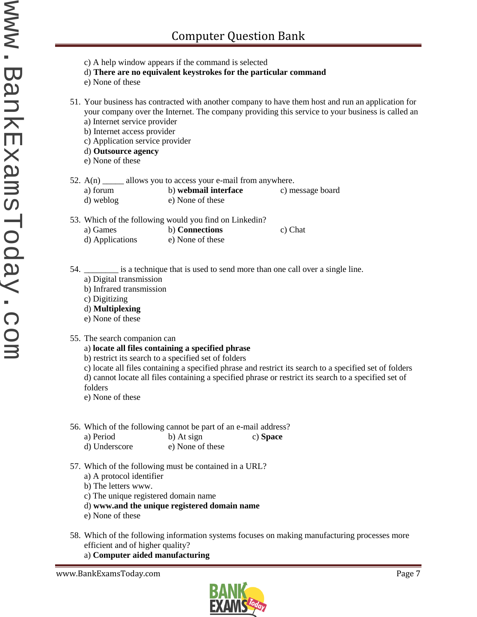- c) A help window appears if the command is selected
- d) **There are no equivalent keystrokes for the particular command**
- e) None of these
- 51. Your business has contracted with another company to have them host and run an application for your company over the Internet. The company providing this service to your business is called an a) Internet service provider
	- b) Internet access provider
	- c) Application service provider
	- d) **Outsource agency**
	- e) None of these
- 52.  $A(n)$  allows you to access your e-mail from anywhere.
	- a) forum b) **webmail interface** c) message board
	- d) weblog e) None of these
- 53. Which of the following would you find on Linkedin?
	- a) Games b) **Connections** c) Chat
	- d) Applications e) None of these

54. \_\_\_\_\_\_\_\_ is a technique that is used to send more than one call over a single line.

- a) Digital transmission
- b) Infrared transmission
- c) Digitizing
- d) **Multiplexing**
- e) None of these
- 55. The search companion can
	- a) **locate all files containing a specified phrase**
	- b) restrict its search to a specified set of folders
	- c) locate all files containing a specified phrase and restrict its search to a specified set of folders d) cannot locate all files containing a specified phrase or restrict its search to a specified set of folders
	- e) None of these
- 56. Which of the following cannot be part of an e-mail address?
	- a) Period b) At sign c) **Space** d) Underscore e) None of these
- 57. Which of the following must be contained in a URL?
	- a) A protocol identifier
	- b) The letters www.
	- c) The unique registered domain name
	- d) **www.and the unique registered domain name**
	- e) None of these
- 58. Which of the following information systems focuses on making manufacturing processes more efficient and of higher quality?
	- a) **Computer aided manufacturing**

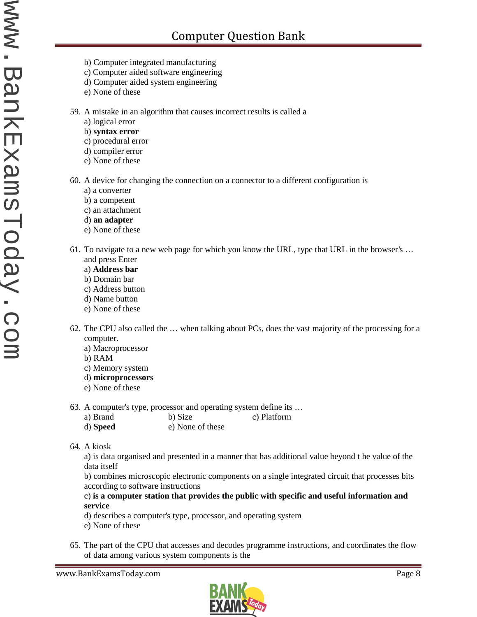- b) Computer integrated manufacturing
- c) Computer aided software engineering
- d) Computer aided system engineering
- e) None of these
- 59. A mistake in an algorithm that causes incorrect results is called a
	- a) logical error
	- b) **syntax error**
	- c) procedural error
	- d) compiler error
	- e) None of these
- 60. A device for changing the connection on a connector to a different configuration is
	- a) a converter
	- b) a competent
	- c) an attachment
	- d) **an adapter**
	- e) None of these
- 61. To navigate to a new web page for which you know the URL, type that URL in the browser's … and press Enter
	- a) **Address bar**
	- b) Domain bar
	- c) Address button
	- d) Name button
	- e) None of these
- 62. The CPU also called the … when talking about PCs, does the vast majority of the processing for a computer.
	- a) Macroprocessor
	- b) RAM
	- c) Memory system
	- d) **microprocessors**
	- e) None of these
- 63. A computer's type, processor and operating system define its …
	- a) Brand b) Size c) Platform
	- d) **Speed** e) None of these
- 64. A kiosk

a) is data organised and presented in a manner that has additional value beyond t he value of the data itself

b) combines microscopic electronic components on a single integrated circuit that processes bits according to software instructions

c) **is a computer station that provides the public with specific and useful information and service**

- d) describes a computer's type, processor, and operating system
- e) None of these
- 65. The part of the CPU that accesses and decodes programme instructions, and coordinates the flow of data among various system components is the

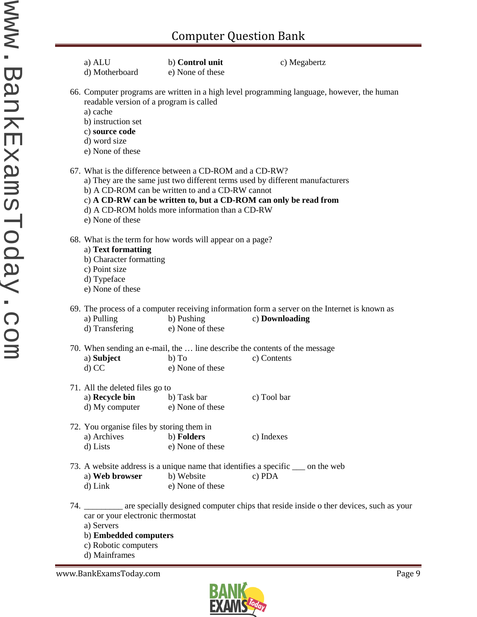| a) ALU<br>d) Motherboard                                                                                                                                                                                                                                                                                                                 | b) Control unit<br>e) None of these | c) Megabertz                                                                                                    |  |  |
|------------------------------------------------------------------------------------------------------------------------------------------------------------------------------------------------------------------------------------------------------------------------------------------------------------------------------------------|-------------------------------------|-----------------------------------------------------------------------------------------------------------------|--|--|
| 66. Computer programs are written in a high level programming language, however, the human<br>readable version of a program is called<br>a) cache<br>b) instruction set<br>c) source code<br>d) word size<br>e) None of these                                                                                                            |                                     |                                                                                                                 |  |  |
| 67. What is the difference between a CD-ROM and a CD-RW?<br>a) They are the same just two different terms used by different manufacturers<br>b) A CD-ROM can be written to and a CD-RW cannot<br>c) A CD-RW can be written to, but a CD-ROM can only be read from<br>d) A CD-ROM holds more information than a CD-RW<br>e) None of these |                                     |                                                                                                                 |  |  |
| 68. What is the term for how words will appear on a page?<br>a) Text formatting<br>b) Character formatting<br>c) Point size<br>d) Typeface<br>e) None of these                                                                                                                                                                           |                                     |                                                                                                                 |  |  |
| a) Pulling<br>d) Transfering                                                                                                                                                                                                                                                                                                             | b) Pushing<br>e) None of these      | 69. The process of a computer receiving information form a server on the Internet is known as<br>c) Downloading |  |  |
| a) Subject<br>$d)$ CC                                                                                                                                                                                                                                                                                                                    | $b)$ To<br>e) None of these         | 70. When sending an e-mail, the  line describe the contents of the message<br>c) Contents                       |  |  |
| 71. All the deleted files go to<br>a) Recycle bin<br>d) My computer                                                                                                                                                                                                                                                                      | b) Task bar<br>e) None of these     | c) Tool bar                                                                                                     |  |  |
| 72. You organise files by storing them in<br>a) Archives<br>d) Lists                                                                                                                                                                                                                                                                     | b) Folders<br>e) None of these      | c) Indexes                                                                                                      |  |  |
| a) Web browser<br>$d)$ Link                                                                                                                                                                                                                                                                                                              | b) Website<br>e) None of these      | 73. A website address is a unique name that identifies a specific ____ on the web<br>c) PDA                     |  |  |
| car or your electronic thermostat<br>a) Servers<br>b) Embedded computers<br>c) Robotic computers                                                                                                                                                                                                                                         |                                     | 74. __________ are specially designed computer chips that reside inside o ther devices, such as your            |  |  |

d) Mainframes

www.BankExamsToday.com Page 9

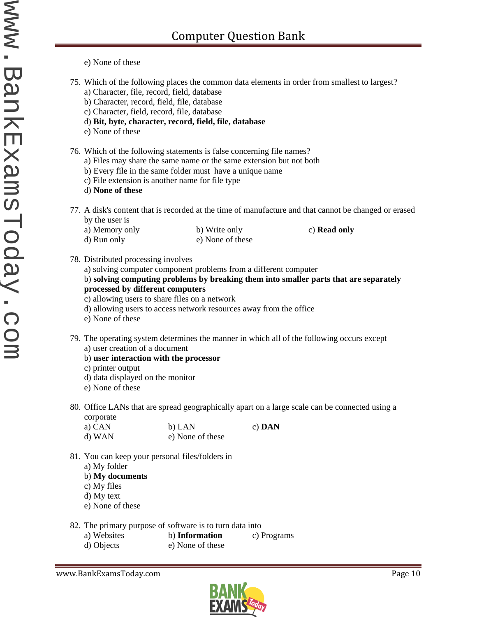e) None of these

- 75. Which of the following places the common data elements in order from smallest to largest?
	- a) Character, file, record, field, database
	- b) Character, record, field, file, database
	- c) Character, field, record, file, database
	- d) **Bit, byte, character, record, field, file, database**
	- e) None of these
- 76. Which of the following statements is false concerning file names?
	- a) Files may share the same name or the same extension but not both
	- b) Every file in the same folder must have a unique name
	- c) File extension is another name for file type
	- d) **None of these**
- 77. A disk's content that is recorded at the time of manufacture and that cannot be changed or erased by the user is
	- a) Memory only b) Write only c) **Read only** d) Run only e) None of these
		-

- 78. Distributed processing involves
	- a) solving computer component problems from a different computer
	- b) **solving computing problems by breaking them into smaller parts that are separately processed by different computers**
	- c) allowing users to share files on a network
	- d) allowing users to access network resources away from the office
	- e) None of these
- 79. The operating system determines the manner in which all of the following occurs except a) user creation of a document
	- b) **user interaction with the processor**
	- c) printer output
	- d) data displayed on the monitor
	- e) None of these
- 80. Office LANs that are spread geographically apart on a large scale can be connected using a corporate

| a) CAN | b) LAN           | c) $DAN$ |
|--------|------------------|----------|
| d) WAN | e) None of these |          |

- 81. You can keep your personal files/folders in
	- a) My folder
	- b) **My documents**
	- c) My files
	- d) My text
	- e) None of these
- 82. The primary purpose of software is to turn data into
	- a) Websites b) **Information** c) Programs
	- d) Objects e) None of these

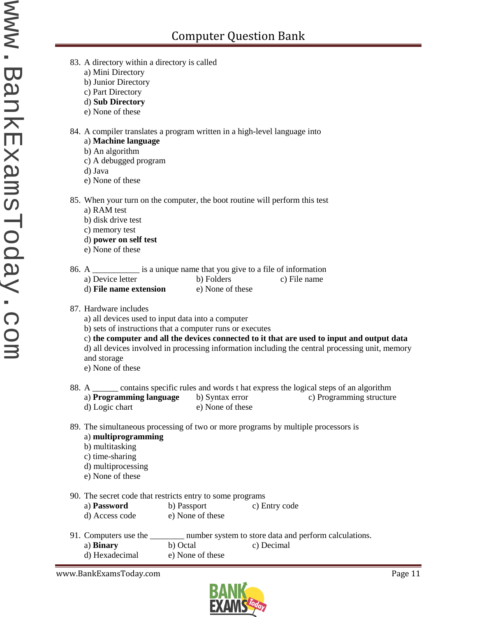- 83. A directory within a directory is called
	- a) Mini Directory
	- b) Junior Directory
	- c) Part Directory
	- d) **Sub Directory**
	- e) None of these
- 84. A compiler translates a program written in a high-level language into

## a) **Machine language**

- b) An algorithm
- c) A debugged program
- d) Java

www.BankExamsToday.com www.BankExamsToday.com

- e) None of these
- 85. When your turn on the computer, the boot routine will perform this test
	- a) RAM test
	- b) disk drive test
	- c) memory test
	- d) **power on self test**
	- e) None of these
- 86. A \_\_\_\_\_\_\_\_\_\_\_ is a unique name that you give to a file of information a) Device letter b) Folders c) File name
	- d) **File name extension** e) None of these
- 87. Hardware includes
	- a) all devices used to input data into a computer
	- b) sets of instructions that a computer runs or executes
	- c) **the computer and all the devices connected to it that are used to input and output data** d) all devices involved in processing information including the central processing unit, memory and storage
	- e) None of these
- 88. A contains specific rules and words t hat express the logical steps of an algorithm a) **Programming language** b) Syntax error c) Programming structure d) Logic chart e) None of these
- 89. The simultaneous processing of two or more programs by multiple processors is a) **multiprogramming**
	- b) multitasking
	- c) time-sharing
	- d) multiprocessing
	- e) None of these
- 90. The secret code that restricts entry to some programs

| a) Password    | b) Passport      | c) Entry code |
|----------------|------------------|---------------|
| d) Access code | e) None of these |               |

91. Computers use the \_\_\_\_\_\_\_\_ number system to store data and perform calculations. a) **Binary** b) Octal c) Decimal d) Hexadecimal e) None of these

www.BankExamsToday.com example and the state of the state of the page 11 and the state of the state of the state of the state of the state of the state of the state of the state of the state of the state of the state of th

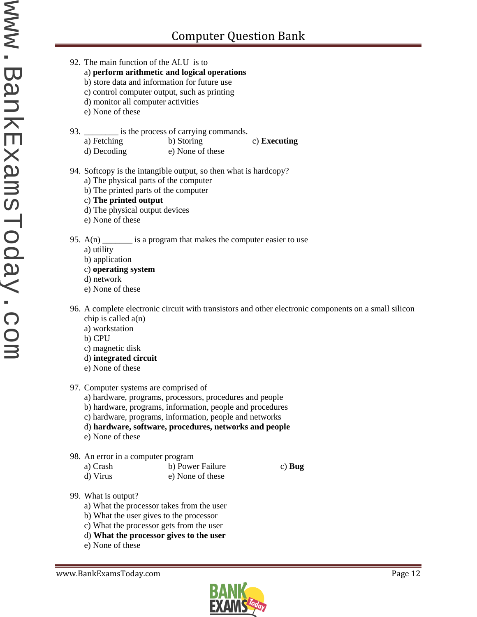- 92. The main function of the ALU is to
	- a) **perform arithmetic and logical operations**
	- b) store data and information for future use
	- c) control computer output, such as printing
	- d) monitor all computer activities
	- e) None of these
- 93. \_\_\_\_\_\_\_\_\_\_ is the process of carrying commands.
	- a) Fetching b) Storing c) **Executing** d) Decoding e) None of these
- 94. Softcopy is the intangible output, so then what is hardcopy?
	- a) The physical parts of the computer
	- b) The printed parts of the computer
	- c) **The printed output**
	- d) The physical output devices
	- e) None of these

## 95.  $A(n)$  \_\_\_\_\_\_\_\_ is a program that makes the computer easier to use

- a) utility
- b) application
- c) **operating system**
- d) network
- e) None of these
- 96. A complete electronic circuit with transistors and other electronic components on a small silicon chip is called  $a(n)$ 
	- a) workstation
	- b) CPU
	- c) magnetic disk
	- d) **integrated circuit**
	- e) None of these
- 97. Computer systems are comprised of
	- a) hardware, programs, processors, procedures and people
	- b) hardware, programs, information, people and procedures
	- c) hardware, programs, information, people and networks
	- d) **hardware, software, procedures, networks and people**
	- e) None of these
- 98. An error in a computer program
	- a) Crash b) Power Failure c) **Bug** d) Virus e) None of these
		-

- 99. What is output?
	- a) What the processor takes from the user
	- b) What the user gives to the processor
	- c) What the processor gets from the user
	- d) **What the processor gives to the user**
	- e) None of these